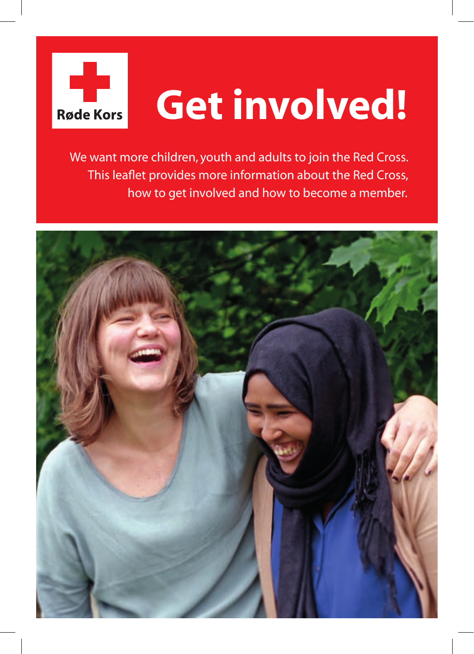

# **Get involved!**

We want more children, youth and adults to join the Red Cross. This leaflet provides more information about the Red Cross, how to get involved and how to become a member.

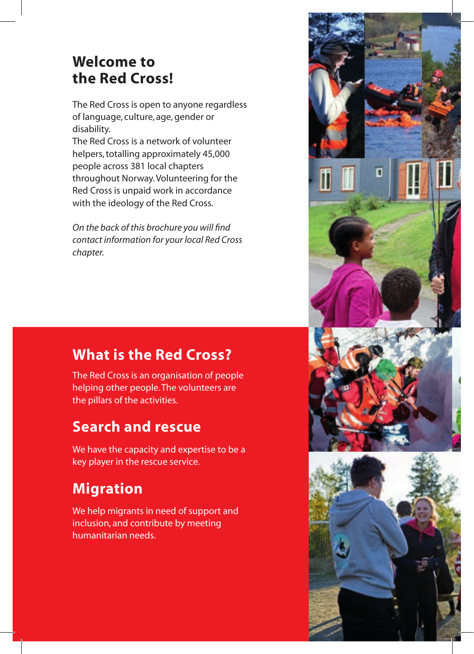### **Welcome to the Red Cross!**

The Red Cross is open to anyone regardless of language, culture, age, gender or disability.

The Red Cross is a network of volunteer helpers, totalling approximately 45,000 people across 381 local chapters throughout Norway. Volunteering for the Red Cross is unpaid work in accordance with the ideology of the Red Cross.

*On the back of this brochure you will find contact information for your local Red Cross chapter.* 

## **What is the Red Cross?**

The Red Cross is an organisation of people helping other people. The volunteers are the pillars of the activities.

## **Search and rescue**

We have the capacity and expertise to be a key player in the rescue service.

## **Migration**

We help migrants in need of support and inclusion, and contribute by meeting humanitarian needs.

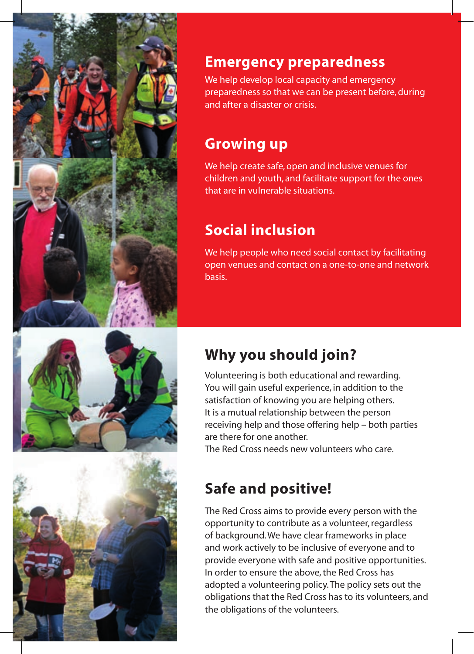

#### **Emergency preparedness**

We help develop local capacity and emergency preparedness so that we can be present before, during and after a disaster or crisis.

## **Growing up**

We help create safe, open and inclusive venues for children and youth, and facilitate support for the ones that are in vulnerable situations.

## **Social inclusion**

We help people who need social contact by facilitating open venues and contact on a one-to-one and network basis.

## **Why you should join?**

Volunteering is both educational and rewarding. You will gain useful experience, in addition to the satisfaction of knowing you are helping others. It is a mutual relationship between the person receiving help and those offering help – both parties are there for one another.

The Red Cross needs new volunteers who care.

## **Safe and positive!**

The Red Cross aims to provide every person with the opportunity to contribute as a volunteer, regardless of background. We have clear frameworks in place and work actively to be inclusive of everyone and to provide everyone with safe and positive opportunities. In order to ensure the above, the Red Cross has adopted a volunteering policy. The policy sets out the obligations that the Red Cross has to its volunteers, and the obligations of the volunteers.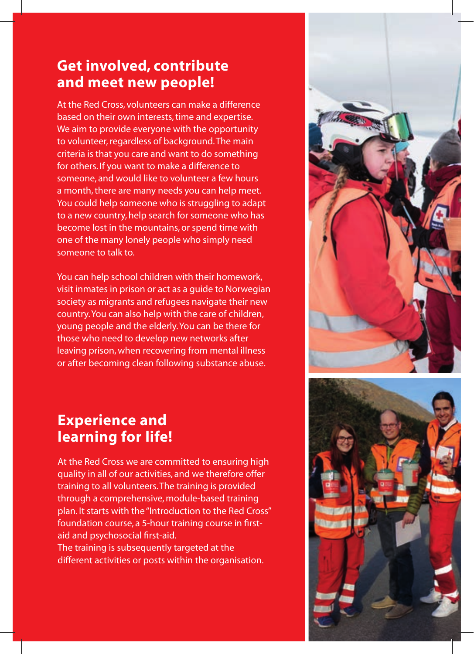### **Get involved, contribute and meet new people!**

At the Red Cross, volunteers can make a difference based on their own interests, time and expertise. We aim to provide everyone with the opportunity to volunteer, regardless of background. The main criteria is that you care and want to do something for others. If you want to make a difference to someone, and would like to volunteer a few hours a month, there are many needs you can help meet. You could help someone who is struggling to adapt to a new country, help search for someone who has become lost in the mountains, or spend time with one of the many lonely people who simply need someone to talk to.

You can help school children with their homework, visit inmates in prison or act as a guide to Norwegian society as migrants and refugees navigate their new country. You can also help with the care of children, young people and the elderly. You can be there for those who need to develop new networks after leaving prison, when recovering from mental illness or after becoming clean following substance abuse.

#### **Experience and learning for life!**

At the Red Cross we are committed to ensuring high quality in all of our activities, and we therefore offer training to all volunteers. The training is provided through a comprehensive, module-based training plan. It starts with the "Introduction to the Red Cross" foundation course, a 5-hour training course in firstaid and psychosocial first-aid.

The training is subsequently targeted at the different activities or posts within the organisation.

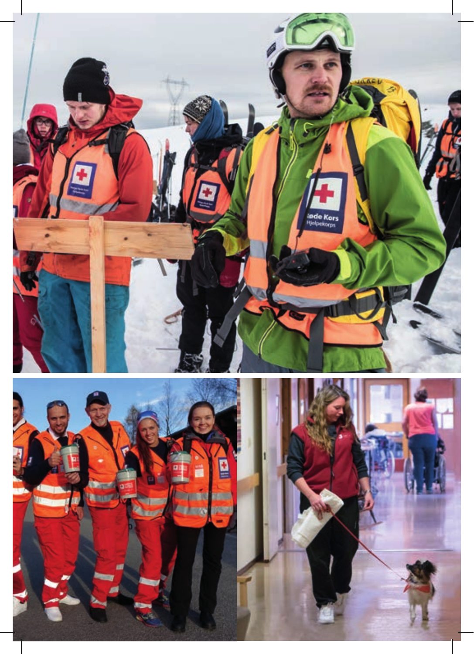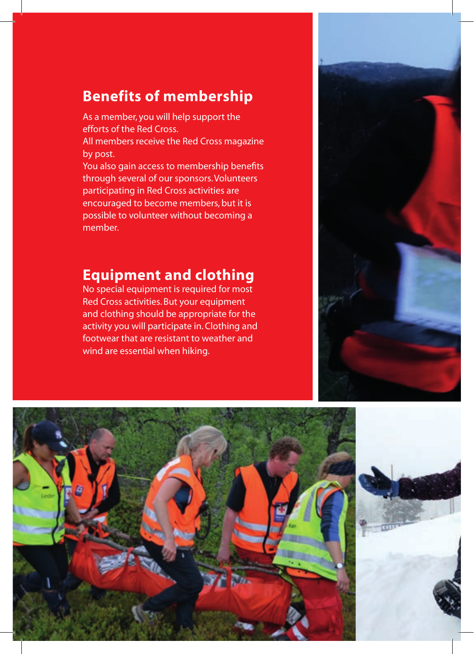## **Benefits of membership**

As a member, you will help support the efforts of the Red Cross. All members receive the Red Cross magazine by post. You also gain access to membership benefits

through several of our sponsors. Volunteers participating in Red Cross activities are encouraged to become members, but it is possible to volunteer without becoming a member.

#### **Equipment and clothing**

No special equipment is required for most Red Cross activities. But your equipment and clothing should be appropriate for the activity you will participate in. Clothing and footwear that are resistant to weather and wind are essential when hiking.



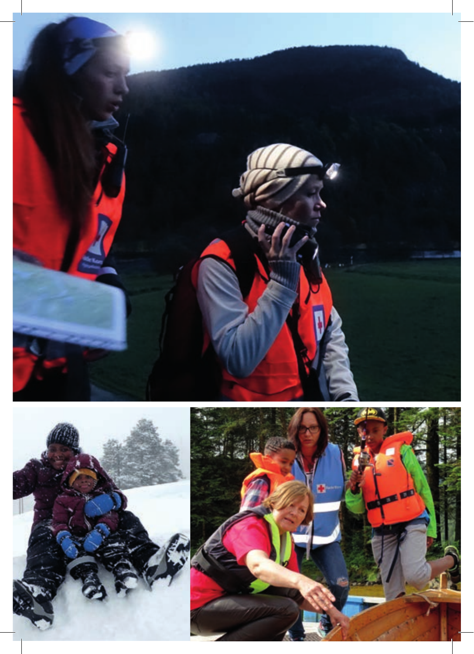